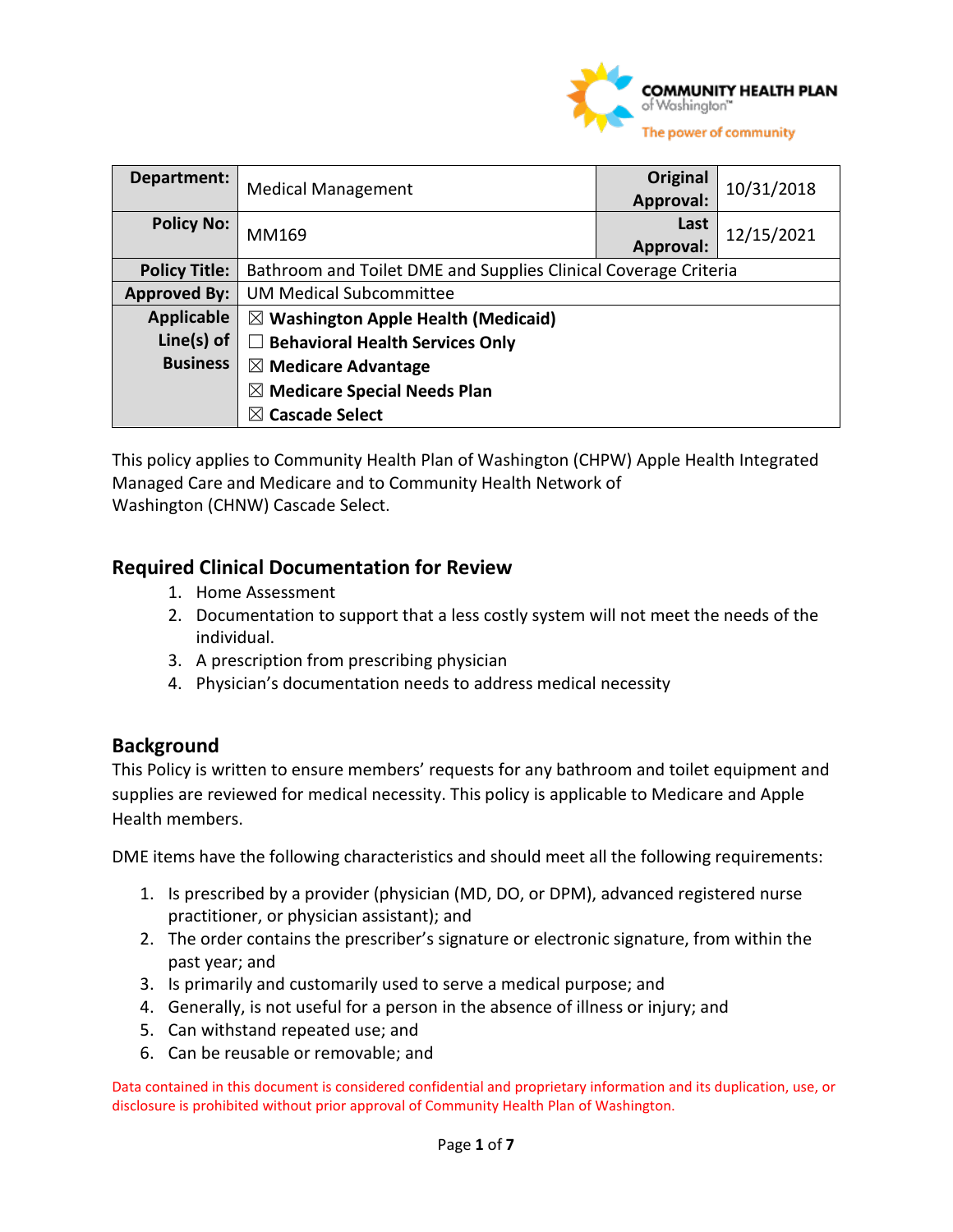

| Department:          | <b>Medical Management</b>                                       | Original<br>Approval: | 10/31/2018 |
|----------------------|-----------------------------------------------------------------|-----------------------|------------|
| <b>Policy No:</b>    | MM169                                                           | Last<br>Approval:     | 12/15/2021 |
| <b>Policy Title:</b> | Bathroom and Toilet DME and Supplies Clinical Coverage Criteria |                       |            |
| <b>Approved By:</b>  | <b>UM Medical Subcommittee</b>                                  |                       |            |
| <b>Applicable</b>    | $\boxtimes$ Washington Apple Health (Medicaid)                  |                       |            |
| Line $(s)$ of        | <b>Behavioral Health Services Only</b>                          |                       |            |
| <b>Business</b>      | $\boxtimes$ Medicare Advantage                                  |                       |            |
|                      | <b>Medicare Special Needs Plan</b><br>$\bowtie$                 |                       |            |
|                      | <b>Cascade Select</b><br>$\bowtie$                              |                       |            |

This policy applies to Community Health Plan of Washington (CHPW) Apple Health Integrated Managed Care and Medicare and to Community Health Network of Washington (CHNW) Cascade Select. 

#### **Required Clinical Documentation for Review**

- 1. Home Assessment
- 2. Documentation to support that a less costly system will not meet the needs of the individual.
- 3. A prescription from prescribing physician
- 4. Physician's documentation needs to address medical necessity

#### **Background**

This Policy is written to ensure members' requests for any bathroom and toilet equipment and supplies are reviewed for medical necessity. This policy is applicable to Medicare and Apple Health members.

DME items have the following characteristics and should meet all the following requirements:

- 1. Is prescribed by a provider (physician (MD, DO, or DPM), advanced registered nurse practitioner, or physician assistant); and
- 2. The order contains the prescriber's signature or electronic signature, from within the past year; and
- 3. Is primarily and customarily used to serve a medical purpose; and
- 4. Generally, is not useful for a person in the absence of illness or injury; and
- 5. Can withstand repeated use; and
- 6. Can be reusable or removable; and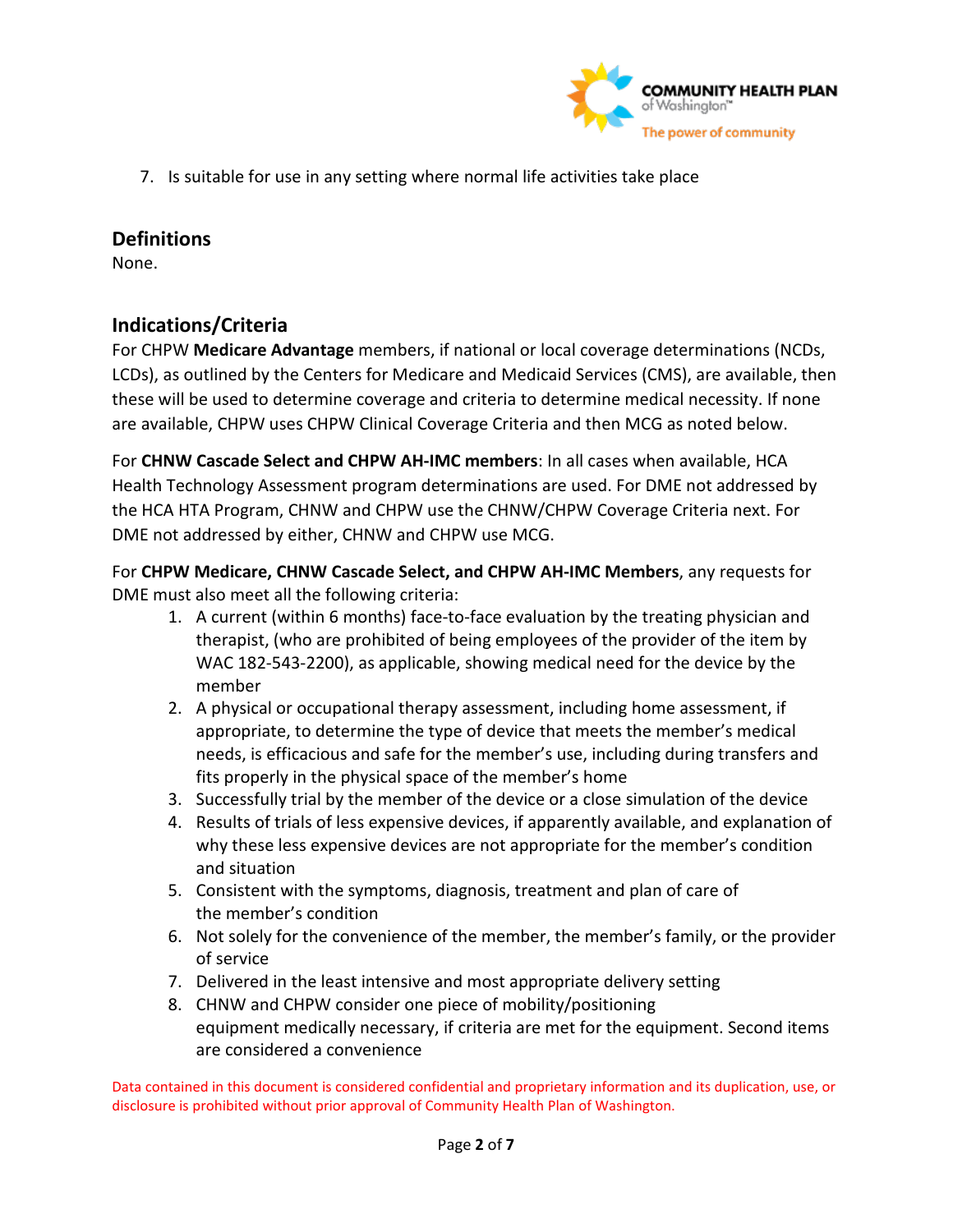

7. Is suitable for use in any setting where normal life activities take place

#### **Definitions**

None.

### **Indications/Criteria**

For CHPW **Medicare Advantage** members, if national or local coverage determinations (NCDs, LCDs), as outlined by the Centers for Medicare and Medicaid Services (CMS), are available, then these will be used to determine coverage and criteria to determine medical necessity. If none are available, CHPW uses CHPW Clinical Coverage Criteria and then MCG as noted below.

For **CHNW Cascade Select and CHPW AH-IMC members**: In all cases when available, HCA Health Technology Assessment program determinations are used. For DME not addressed by the HCA HTA Program, CHNW and CHPW use the CHNW/CHPW Coverage Criteria next. For DME not addressed by either, CHNW and CHPW use MCG.

For **CHPW Medicare, CHNW Cascade Select, and CHPW AH-IMC Members**, any requests for DME must also meet all the following criteria:

- 1. A current (within 6 months) face-to-face evaluation by the treating physician and therapist, (who are prohibited of being employees of the provider of the item by WAC 182-543-2200), as applicable, showing medical need for the device by the member
- 2. A physical or occupational therapy assessment, including home assessment, if appropriate, to determine the type of device that meets the member's medical needs, is efficacious and safe for the member's use, including during transfers and fits properly in the physical space of the member's home
- 3. Successfully trial by the member of the device or a close simulation of the device
- 4. Results of trials of less expensive devices, if apparently available, and explanation of why these less expensive devices are not appropriate for the member's condition and situation
- 5. Consistent with the symptoms, diagnosis, treatment and plan of care of the member's condition
- 6. Not solely for the convenience of the member, the member's family, or the provider of service
- 7. Delivered in the least intensive and most appropriate delivery setting
- 8. CHNW and CHPW consider one piece of mobility/positioning equipment medically necessary, if criteria are met for the equipment. Second items are considered a convenience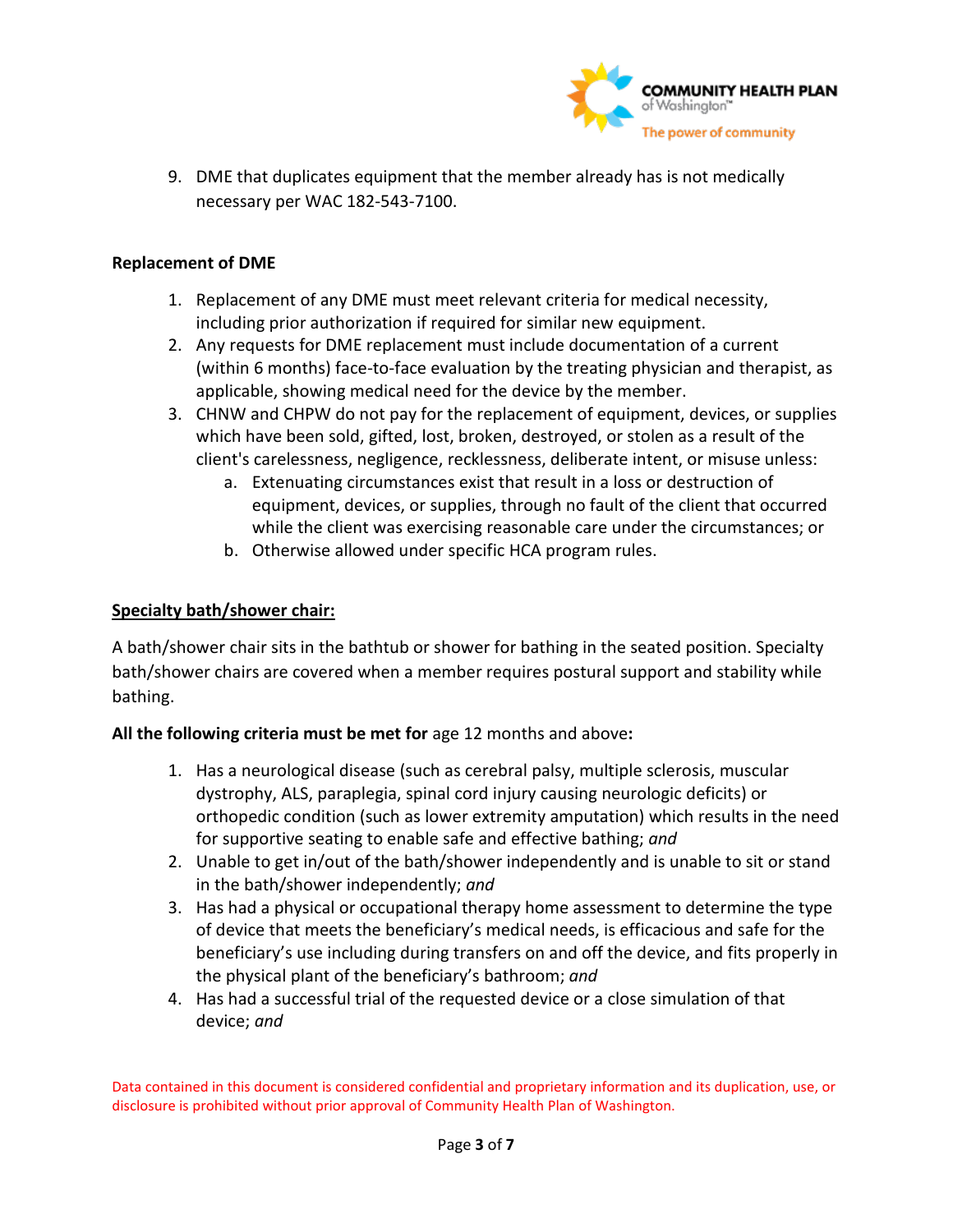

9. DME that duplicates equipment that the member already has is not medically necessary per WAC 182-543-7100.

#### **Replacement of DME**

- 1. Replacement of any DME must meet relevant criteria for medical necessity, including prior authorization if required for similar new equipment.
- 2. Any requests for DME replacement must include documentation of a current (within 6 months) face-to-face evaluation by the treating physician and therapist, as applicable, showing medical need for the device by the member.
- 3. CHNW and CHPW do not pay for the replacement of equipment, devices, or supplies which have been sold, gifted, lost, broken, destroyed, or stolen as a result of the client's carelessness, negligence, recklessness, deliberate intent, or misuse unless:
	- a. Extenuating circumstances exist that result in a loss or destruction of equipment, devices, or supplies, through no fault of the client that occurred while the client was exercising reasonable care under the circumstances; or
	- b. Otherwise allowed under specific HCA program rules.

#### **Specialty bath/shower chair:**

A bath/shower chair sits in the bathtub or shower for bathing in the seated position. Specialty bath/shower chairs are covered when a member requires postural support and stability while bathing.

#### **All the following criteria must be met for** age 12 months and above**:**

- 1. Has a neurological disease (such as cerebral palsy, multiple sclerosis, muscular dystrophy, ALS, paraplegia, spinal cord injury causing neurologic deficits) or orthopedic condition (such as lower extremity amputation) which results in the need for supportive seating to enable safe and effective bathing; *and*
- 2. Unable to get in/out of the bath/shower independently and is unable to sit or stand in the bath/shower independently; *and*
- 3. Has had a physical or occupational therapy home assessment to determine the type of device that meets the beneficiary's medical needs, is efficacious and safe for the beneficiary's use including during transfers on and off the device, and fits properly in the physical plant of the beneficiary's bathroom; *and*
- 4. Has had a successful trial of the requested device or a close simulation of that device; *and*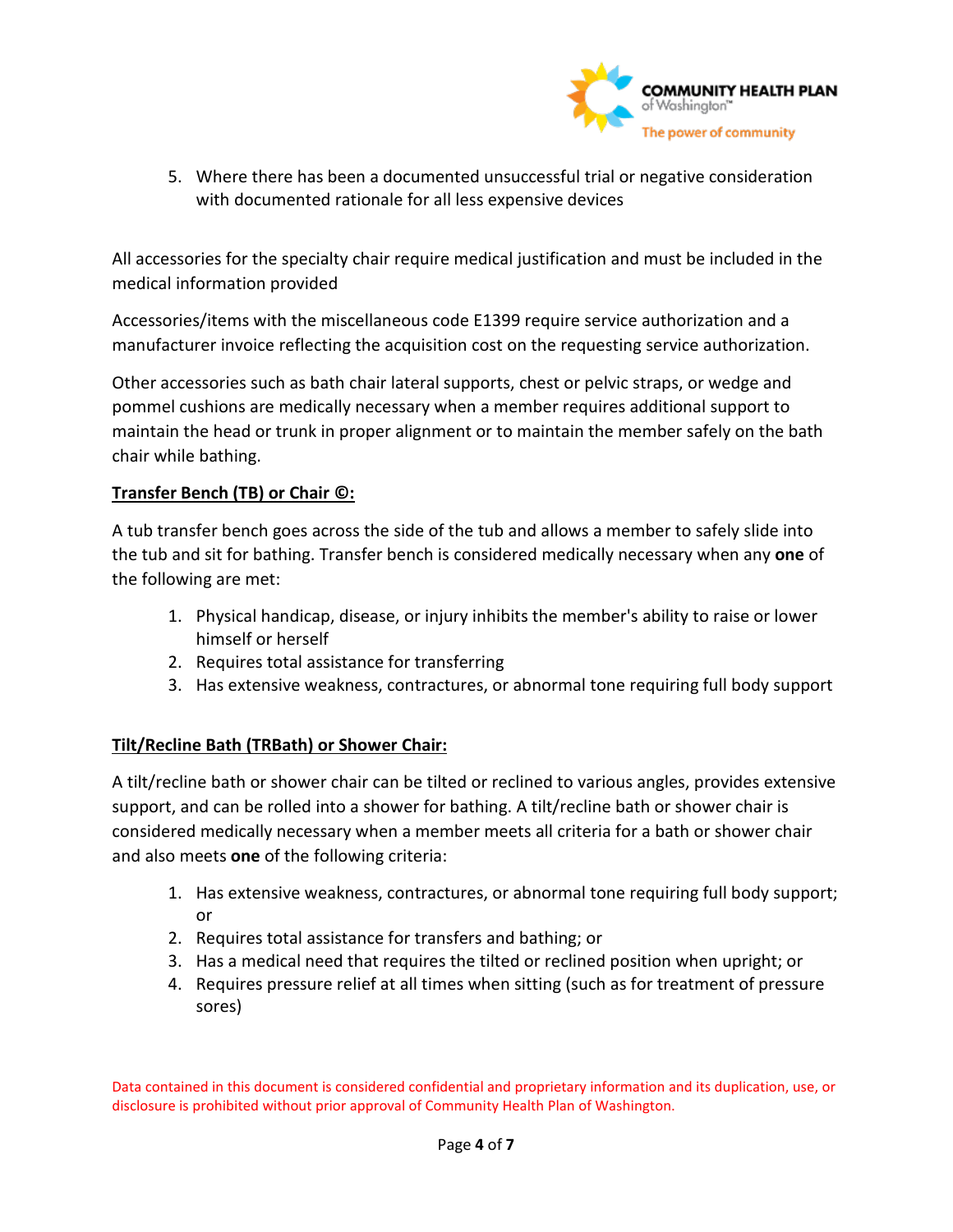

5. Where there has been a documented unsuccessful trial or negative consideration with documented rationale for all less expensive devices

All accessories for the specialty chair require medical justification and must be included in the medical information provided

Accessories/items with the miscellaneous code E1399 require service authorization and a manufacturer invoice reflecting the acquisition cost on the requesting service authorization.

Other accessories such as bath chair lateral supports, chest or pelvic straps, or wedge and pommel cushions are medically necessary when a member requires additional support to maintain the head or trunk in proper alignment or to maintain the member safely on the bath chair while bathing.

#### **Transfer Bench (TB) or Chair ©:**

A tub transfer bench goes across the side of the tub and allows a member to safely slide into the tub and sit for bathing. Transfer bench is considered medically necessary when any **one** of the following are met:

- 1. Physical handicap, disease, or injury inhibits the member's ability to raise or lower himself or herself
- 2. Requires total assistance for transferring
- 3. Has extensive weakness, contractures, or abnormal tone requiring full body support

#### **Tilt/Recline Bath (TRBath) or Shower Chair:**

A tilt/recline bath or shower chair can be tilted or reclined to various angles, provides extensive support, and can be rolled into a shower for bathing. A tilt/recline bath or shower chair is considered medically necessary when a member meets all criteria for a bath or shower chair and also meets **one** of the following criteria:

- 1. Has extensive weakness, contractures, or abnormal tone requiring full body support; or
- 2. Requires total assistance for transfers and bathing; or
- 3. Has a medical need that requires the tilted or reclined position when upright; or
- 4. Requires pressure relief at all times when sitting (such as for treatment of pressure sores)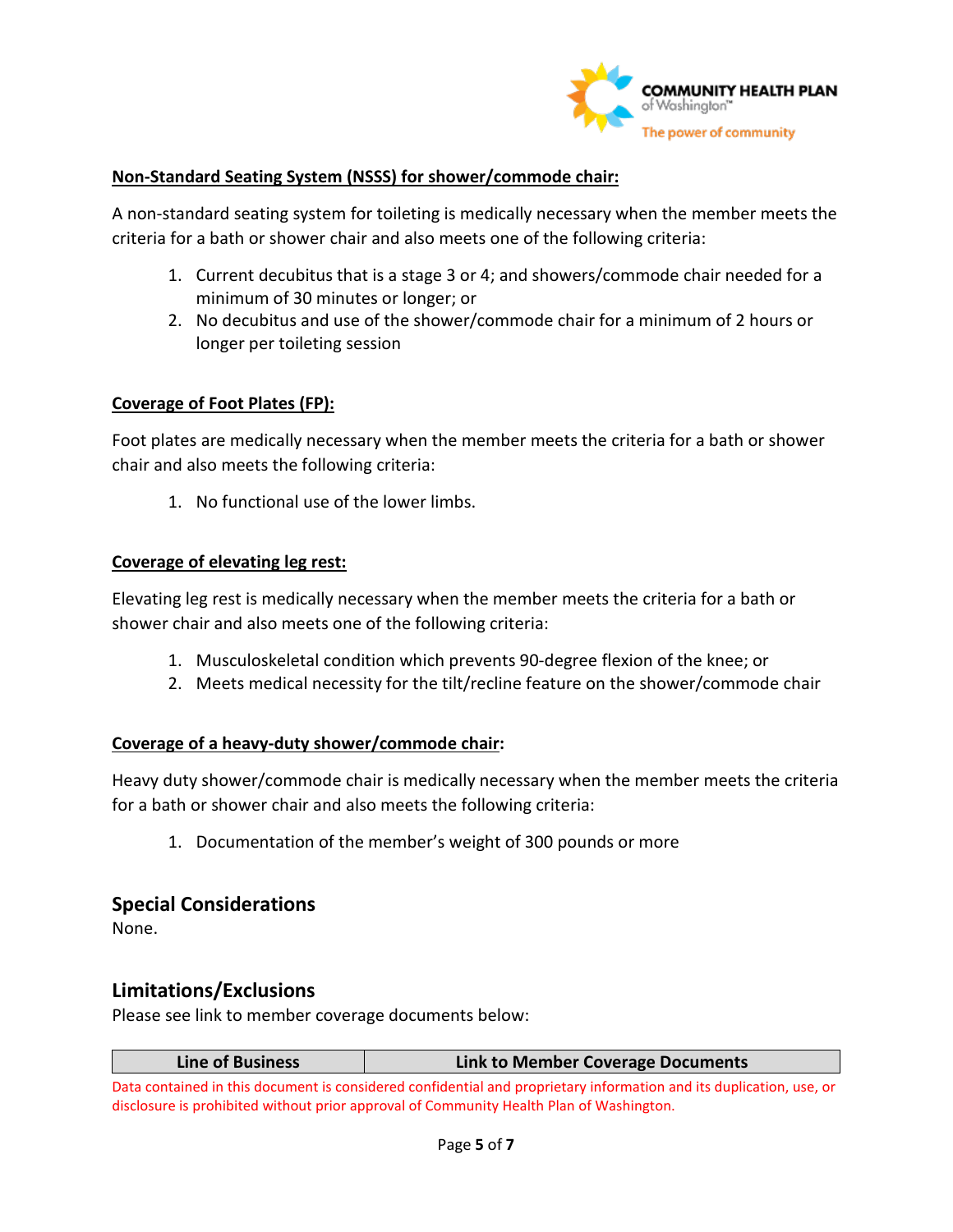

#### **Non-Standard Seating System (NSSS) for shower/commode chair:**

A non-standard seating system for toileting is medically necessary when the member meets the criteria for a bath or shower chair and also meets one of the following criteria:

- 1. Current decubitus that is a stage 3 or 4; and showers/commode chair needed for a minimum of 30 minutes or longer; or
- 2. No decubitus and use of the shower/commode chair for a minimum of 2 hours or longer per toileting session

#### **Coverage of Foot Plates (FP):**

Foot plates are medically necessary when the member meets the criteria for a bath or shower chair and also meets the following criteria:

1. No functional use of the lower limbs.

#### **Coverage of elevating leg rest:**

Elevating leg rest is medically necessary when the member meets the criteria for a bath or shower chair and also meets one of the following criteria:

- 1. Musculoskeletal condition which prevents 90-degree flexion of the knee; or
- 2. Meets medical necessity for the tilt/recline feature on the shower/commode chair

#### **Coverage of a heavy-duty shower/commode chair:**

Heavy duty shower/commode chair is medically necessary when the member meets the criteria for a bath or shower chair and also meets the following criteria:

1. Documentation of the member's weight of 300 pounds or more

#### **Special Considerations**

None.

#### **Limitations/Exclusions**

Please see link to member coverage documents below:

| Line of Business | Link to Member Coverage Documents |
|------------------|-----------------------------------|
|------------------|-----------------------------------|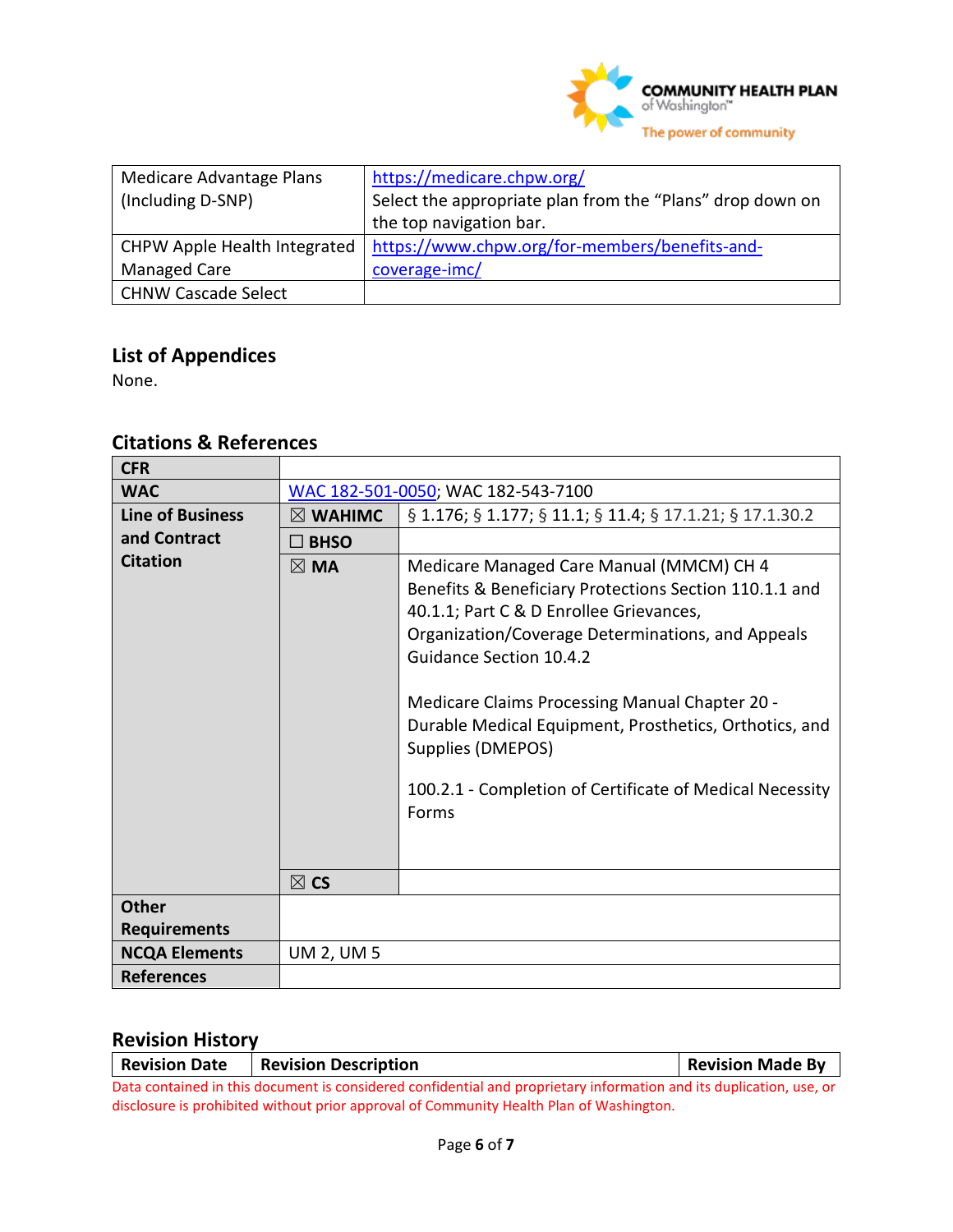

| Medicare Advantage Plans<br>(Including D-SNP) | https://medicare.chpw.org/<br>Select the appropriate plan from the "Plans" drop down on |
|-----------------------------------------------|-----------------------------------------------------------------------------------------|
|                                               | the top navigation bar.                                                                 |
| CHPW Apple Health Integrated                  | https://www.chpw.org/for-members/benefits-and-                                          |
| <b>Managed Care</b>                           | coverage-imc/                                                                           |
| CHNW Cascade Select                           |                                                                                         |

# **List of Appendices**

None.

## **Citations & References**

| <b>CFR</b>              |                                    |                                                                                                                                                                                                                                                                                                                                                                                                                                            |  |
|-------------------------|------------------------------------|--------------------------------------------------------------------------------------------------------------------------------------------------------------------------------------------------------------------------------------------------------------------------------------------------------------------------------------------------------------------------------------------------------------------------------------------|--|
| <b>WAC</b>              | WAC 182-501-0050; WAC 182-543-7100 |                                                                                                                                                                                                                                                                                                                                                                                                                                            |  |
| <b>Line of Business</b> | $\boxtimes$ WAHIMC                 | § 1.176; § 1.177; § 11.1; § 11.4; § 17.1.21; § 17.1.30.2                                                                                                                                                                                                                                                                                                                                                                                   |  |
| and Contract            | $\square$ BHSO                     |                                                                                                                                                                                                                                                                                                                                                                                                                                            |  |
| <b>Citation</b>         | $\boxtimes$ MA                     | Medicare Managed Care Manual (MMCM) CH 4<br>Benefits & Beneficiary Protections Section 110.1.1 and<br>40.1.1; Part C & D Enrollee Grievances,<br>Organization/Coverage Determinations, and Appeals<br><b>Guidance Section 10.4.2</b><br>Medicare Claims Processing Manual Chapter 20 -<br>Durable Medical Equipment, Prosthetics, Orthotics, and<br>Supplies (DMEPOS)<br>100.2.1 - Completion of Certificate of Medical Necessity<br>Forms |  |
|                         | $\boxtimes$ CS                     |                                                                                                                                                                                                                                                                                                                                                                                                                                            |  |
| <b>Other</b>            |                                    |                                                                                                                                                                                                                                                                                                                                                                                                                                            |  |
| <b>Requirements</b>     |                                    |                                                                                                                                                                                                                                                                                                                                                                                                                                            |  |
| <b>NCQA Elements</b>    | <b>UM 2, UM 5</b>                  |                                                                                                                                                                                                                                                                                                                                                                                                                                            |  |
| <b>References</b>       |                                    |                                                                                                                                                                                                                                                                                                                                                                                                                                            |  |

## **Revision History**

| <b>Revision Date</b>                                                                                                | <b>Revision Description</b> | <b>Revision Made By</b> |
|---------------------------------------------------------------------------------------------------------------------|-----------------------------|-------------------------|
| Data contained in this document is considered confidential and proprietary information and its duplication, use, or |                             |                         |
| disclosure is prohibited without prior approval of Community Health Plan of Washington.                             |                             |                         |